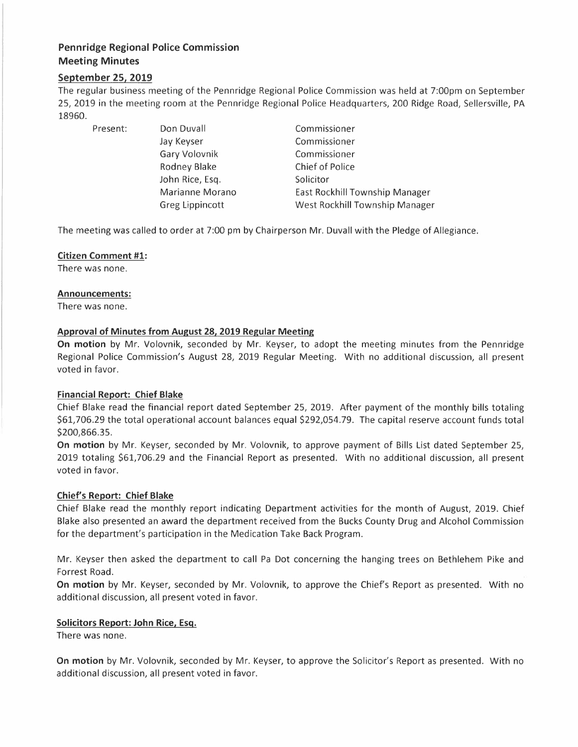# **Pennridge Regional Police Commission Meeting Minutes**

# **September 25, 2019**

The regular business meeting of the Pennridge Regional Police Commission was held at 7:00pm on September 25, 2019 in the meeting room at the Pennridge Regional Police Headquarters, 200 Ridge Road, Sellersville, PA 18960.

Present: Don Duvall

Jay Keyser Gary Volovnik Rodney Blake John Rice, Esq. Marianne Morano Greg Lippincott

Commissioner Commissioner Commissioner Chief of Police Solicitor East Rockhill Township Manager West Rockhill Township Manager

The meeting was called to order at 7:00 pm by Chairperson Mr. Duvall with the Pledge of Allegiance.

# **Citizen Comment #1:**

There was none.

#### **Announcements:**

There was none.

# **Approval of Minutes from August 28, 2019 Regular Meeting**

**On motion** by Mr. Volovnik, seconded by Mr. Keyser, to adopt the meeting minutes from the Pennridge Regional Police Commission's August 28, 2019 Regular Meeting. With no additional discussion, all present voted in favor.

# **Financial Report: Chief Blake**

Chief Blake read the financial report dated September 25, 2019. After payment of the monthly bills totaling \$61,706.29 the total operational account balances equal \$292,054.79. The capital reserve account funds total \$200,866.35.

**On motion** by Mr. Keyser, seconded by Mr. Volovnik, to approve payment of Bills List dated September 25, 2019 totaling \$61,706.29 and the Financial Report as presented. With no additional discussion, all present voted in favor.

# **Chief's Report: Chief Blake**

Chief Blake read the monthly report indicating Department activities for the month of August, 2019. Chief Blake also presented an award the department received from the Bucks County Drug and Alcohol Commission for the department's participation in the Medication Take Back Program.

Mr. Keyser then asked the department to call Pa Dot concerning the hanging trees on Bethlehem Pike and Forrest Road.

On motion by Mr. Keyser, seconded by Mr. Volovnik, to approve the Chief's Report as presented. With no additional discussion, all present voted in favor.

#### **Solicitors Report: John Rice, Esq.**

There was none.

**On motion** by Mr. Volovnik, seconded by Mr. Keyser, to approve the Solicitor's Report as presented. With no additional discussion, all present voted in favor.